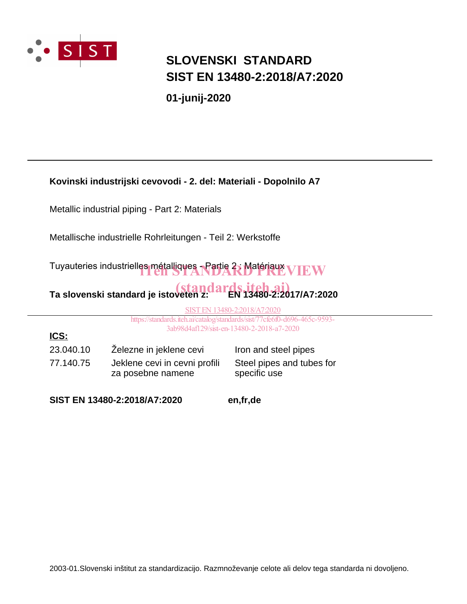

**ICS:**

## **SLOVENSKI STANDARD SIST EN 13480-2:2018/A7:2020**

**01-junij-2020**

### **Kovinski industrijski cevovodi - 2. del: Materiali - Dopolnilo A7**

Metallic industrial piping - Part 2: Materials

Metallische industrielle Rohrleitungen - Teil 2: Werkstoffe

Tuyauteries industrielles métalliques - Partie 2; Matériaux VIEW

# Ta slovenski standard je istoveten z: **EN 13480-2:2017/A7:2020**

SIST EN 13480-2:2018/A7:2020

https://standards.iteh.ai/catalog/standards/sist/77cfe6f0-d696-465c-9593- 3ab98d4af129/sist-en-13480-2-2018-a7-2020

23.040.10 Železne in jeklene cevi Iron and steel pipes 77.140.75 Jeklene cevi in cevni profili za posebne namene

Steel pipes and tubes for specific use

**SIST EN 13480-2:2018/A7:2020 en,fr,de**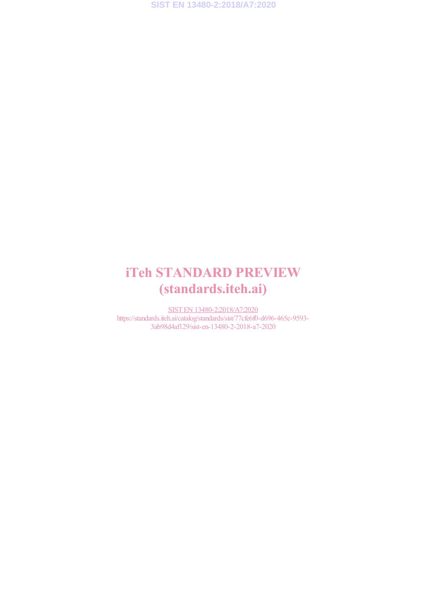## iTeh STANDARD PREVIEW (standards.iteh.ai)

SIST EN 13480-2:2018/A7:2020 https://standards.iteh.ai/catalog/standards/sist/77cfe6f0-d696-465c-9593- 3ab98d4af129/sist-en-13480-2-2018-a7-2020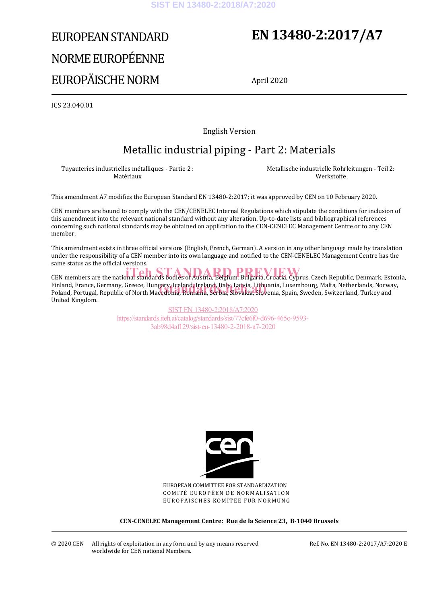# EUROPEAN STANDARD NORME EUROPÉENNE EUROPÄISCHE NORM

## **EN 13480-2:2017/A7**

April 2020

ICS 23.040.01

English Version

### Metallic industrial piping - Part 2: Materials

Tuyauteries industrielles métalliques - Partie 2 : Matériaux

 Metallische industrielle Rohrleitungen - Teil 2: Werkstoffe

This amendment A7 modifies the European Standard EN 13480-2:2017; it was approved by CEN on 10 February 2020.

CEN members are bound to comply with the CEN/CENELEC Internal Regulations which stipulate the conditions for inclusion of this amendment into the relevant national standard without any alteration. Up-to-date lists and bibliographical references concerning such national standards may be obtained on application to the CEN-CENELEC Management Centre or to any CEN member.

This amendment exists in three official versions (English, French, German). A version in any other language made by translation under the responsibility of a CEN member into its own language and notified to the CEN-CENELEC Management Centre has the same status as the official versions.

CEN members are the national standards bodies of Austria, Belgium, Bulgaria, Croatia, Cyprus, Czech Republic, Denmark, Estonia, Finland, France, Germany, Greece, Hungary, Iceland, Ireland, Italy, Latvia, Lithuania, Luxembourg, Malta, Netherlands, Norway, Finland, France, Germany, Greece, Hungary, Iceland, Ireland, Italy, Latvia, Lithuania, Luxembourg, Malta, Netherlands, Norwa<br>Poland, Portugal, Republic of North Macedonia, Romania, Serbia, Slovakia, Slovenia, Spain, Sweden United Kingdom.

> SIST EN 13480-2:2018/A7:2020 https://standards.iteh.ai/catalog/standards/sist/77cfe6f0-d696-465c-9593- 3ab98d4af129/sist-en-13480-2-2018-a7-2020



EUROPEAN COMMITTEE FOR STANDARDIZATION COMITÉ EUROPÉEN DE NORMALISATION EUROPÄISCHES KOMITEE FÜR NORMUNG

**CEN-CENELEC Management Centre: Rue de la Science 23, B-1040 Brussels** 

© 2020 CEN All rights of exploitation in any form and by any means reserved worldwide for CEN national Members.

Ref. No. EN 13480-2:2017/A7:2020 E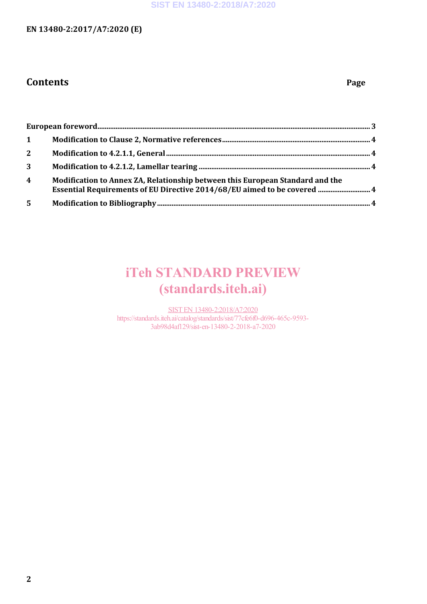### **EN 13480-2:2017/A7:2020 (E)**

### **Contents Page**

| $\mathbf{1}$            |                                                                                                                                                           |  |
|-------------------------|-----------------------------------------------------------------------------------------------------------------------------------------------------------|--|
| $2^{\circ}$             |                                                                                                                                                           |  |
| $\mathbf{3}$            |                                                                                                                                                           |  |
| $\overline{\mathbf{4}}$ | Modification to Annex ZA, Relationship between this European Standard and the<br>Essential Requirements of EU Directive 2014/68/EU aimed to be covered  4 |  |
| 5                       |                                                                                                                                                           |  |

## iTeh STANDARD PREVIEW (standards.iteh.ai)

SIST EN 13480-2:2018/A7:2020 https://standards.iteh.ai/catalog/standards/sist/77cfe6f0-d696-465c-9593- 3ab98d4af129/sist-en-13480-2-2018-a7-2020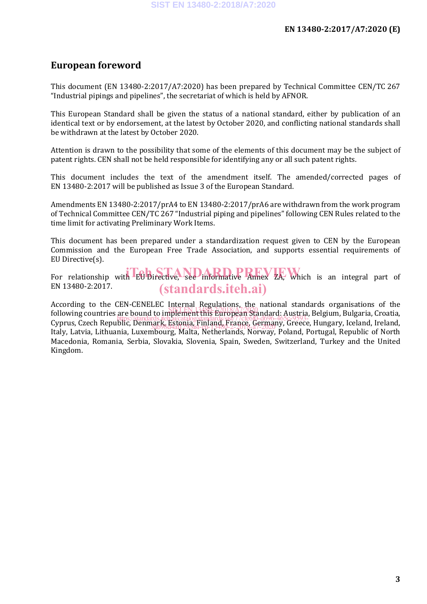### **European foreword**

This document (EN 13480-2:2017/A7:2020) has been prepared by Technical Committee CEN/TC 267 "Industrial pipings and pipelines", the secretariat of which is held by AFNOR.

This European Standard shall be given the status of a national standard, either by publication of an identical text or by endorsement, at the latest by October 2020, and conflicting national standards shall be withdrawn at the latest by October 2020.

Attention is drawn to the possibility that some of the elements of this document may be the subject of patent rights. CEN shall not be held responsible for identifying any or all such patent rights.

This document includes the text of the amendment itself. The amended/corrected pages of EN 13480-2:2017 will be published as Issue 3 of the European Standard.

Amendments EN 13480-2:2017/prA4 to EN 13480-2:2017/prA6 are withdrawn from the work program of Technical Committee CEN/TC 267 "Industrial piping and pipelines" following CEN Rules related to the time limit for activating Preliminary Work Items.

This document has been prepared under a standardization request given to CEN by the European Commission and the European Free Trade Association, and supports essential requirements of EU Directive(s).

For relationship with EU Directive, see informative Annex ZA, which is an integral part of EN 13480-2:2017. (standards.iteh.ai)

According to the CEN-CENELEC Internal Regulations, the national standards organisations of the Free raing to the care bound to implement this European Standard: Austria, Belgium, Bulgaria, Croatia, Indiana Cyprus, Czech Republic, Denmark, Estonia, Finland, France, Germany, Greece, Hungary, Iceland, Ireland, Italy, Latvia, Lithuania, Luxembourg, Malta, Netherlands, Norway, Poland, Portugal, Republic of North Macedonia, Romania, Serbia, Slovakia, Slovenia, Spain, Sweden, Switzerland, Turkey and the United Kingdom. https://standards.iteh.ai/catalog/standards/sist/77cfe6f0-d696-465c-9593-6<br>https://standards.iteh.ai/catalog/standards/sist/77cfe6f0-d696-465c-9593-3ab98d4af129/sist-en-13480-2-2018-a7-2020